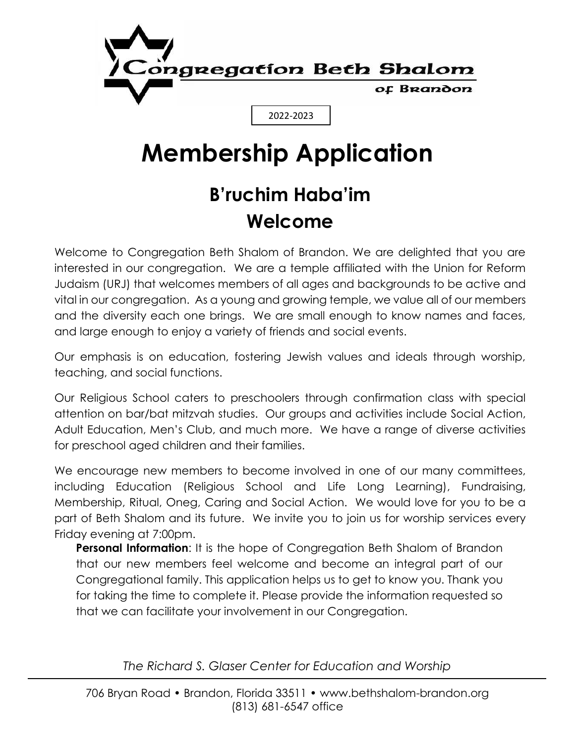

# **Membership Application**

## **B'ruchim Haba'im Welcome**

Welcome to Congregation Beth Shalom of Brandon. We are delighted that you are interested in our congregation. We are a temple affiliated with the Union for Reform Judaism (URJ) that welcomes members of all ages and backgrounds to be active and vital in our congregation. As a young and growing temple, we value all of our members and the diversity each one brings. We are small enough to know names and faces, and large enough to enjoy a variety of friends and social events.

Our emphasis is on education, fostering Jewish values and ideals through worship, teaching, and social functions.

Our Religious School caters to preschoolers through confirmation class with special attention on bar/bat mitzvah studies. Our groups and activities include Social Action, Adult Education, Men's Club, and much more. We have a range of diverse activities for preschool aged children and their families.

We encourage new members to become involved in one of our many committees, including Education (Religious School and Life Long Learning), Fundraising, Membership, Ritual, Oneg, Caring and Social Action. We would love for you to be a part of Beth Shalom and its future. We invite you to join us for worship services every Friday evening at 7:00pm.

**Personal Information:** It is the hope of Congregation Beth Shalom of Brandon that our new members feel welcome and become an integral part of our Congregational family. This application helps us to get to know you. Thank you for taking the time to complete it. Please provide the information requested so that we can facilitate your involvement in our Congregation.

*The Richard S. Glaser Center for Education and Worship*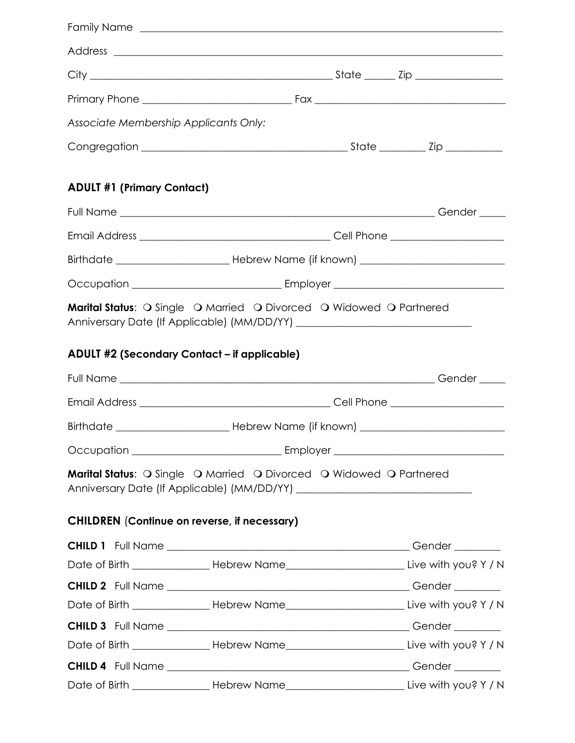| Associate Membership Applicants Only:               |                                                                                                   |  |
|-----------------------------------------------------|---------------------------------------------------------------------------------------------------|--|
|                                                     |                                                                                                   |  |
| <b>ADULT #1 (Primary Contact)</b>                   |                                                                                                   |  |
|                                                     |                                                                                                   |  |
|                                                     |                                                                                                   |  |
|                                                     |                                                                                                   |  |
|                                                     |                                                                                                   |  |
| <b>ADULT #2 (Secondary Contact - if applicable)</b> |                                                                                                   |  |
|                                                     |                                                                                                   |  |
|                                                     |                                                                                                   |  |
|                                                     |                                                                                                   |  |
| <b>CHILDREN</b> (Continue on reverse, if necessary) | Marital Status: O Single O Married O Divorced O Widowed O Partnered                               |  |
|                                                     |                                                                                                   |  |
|                                                     | Date of Birth ___________________Hebrew Name_____________________________Live with you? Y / N     |  |
|                                                     |                                                                                                   |  |
|                                                     | Date of Birth ____________________Hebrew Name______________________________Live with you? Y / N   |  |
|                                                     |                                                                                                   |  |
|                                                     | Date of Birth _____________________Hebrew Name_______________________________Live with you? Y / N |  |
|                                                     |                                                                                                   |  |
|                                                     | Date of Birth ____________________Hebrew Name______________________________Live with you? Y / N   |  |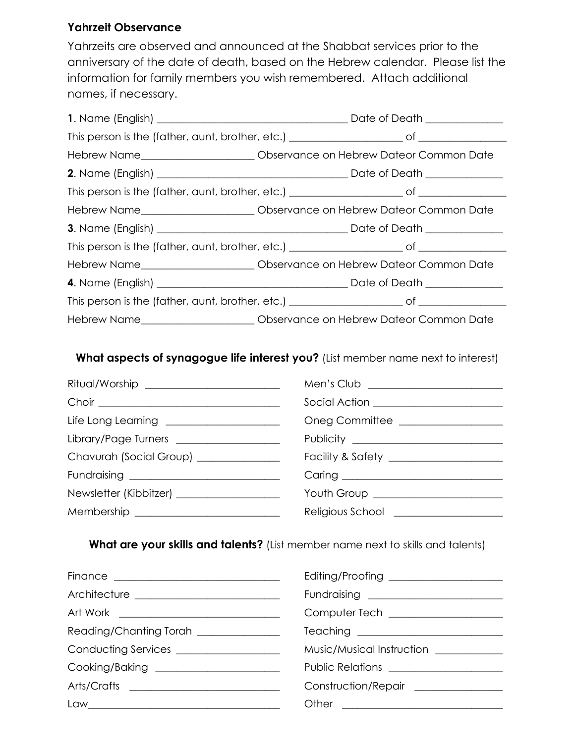#### **Yahrzeit Observance**

Yahrzeits are observed and announced at the Shabbat services prior to the anniversary of the date of death, based on the Hebrew calendar. Please list the information for family members you wish remembered. Attach additional names, if necessary.

| Hebrew Name__________________________________ Observance on Hebrew Dateor Common Date |  |
|---------------------------------------------------------------------------------------|--|
|                                                                                       |  |
|                                                                                       |  |
| Hebrew Name_______________________________Observance on Hebrew Dateor Common Date     |  |
|                                                                                       |  |
|                                                                                       |  |
| Hebrew Name_____________________________ Observance on Hebrew Dateor Common Date      |  |
|                                                                                       |  |
|                                                                                       |  |
| Hebrew Name__________________________________Observance on Hebrew Dateor Common Date  |  |

**What aspects of synagogue life interest you?** (List member name next to interest)

| Ritual/Worship ___________________________  |                                          |
|---------------------------------------------|------------------------------------------|
|                                             | Social Action _______________________    |
| Life Long Learning ______________________   | Oneg Committee _________________         |
| Library/Page Turners ___________________    |                                          |
| Chavurah (Social Group) ______________      |                                          |
|                                             |                                          |
| Newsletter (Kibbitzer) ____________________ | Youth Group ______________________       |
|                                             | Religious School <b>Religious</b> School |

**What are your skills and talents?** (List member name next to skills and talents)

| Art Work <u>____________________________</u> | Computer Tech ___________________     |
|----------------------------------------------|---------------------------------------|
| Reading/Chanting Torah ______________        |                                       |
| Conducting Services _________________        | Music/Musical Instruction ________    |
| Cooking/Baking _______________________       | Public Relations ____________________ |
|                                              | Construction/Repair ______________    |
|                                              |                                       |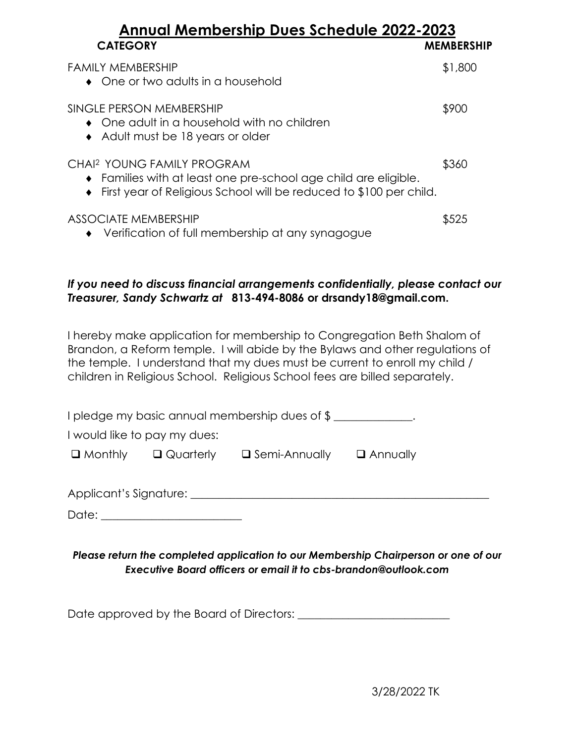## **Annual Membership Dues Schedule 2022-2023 CATEGORY MEMBERSHIP**

| FAMILY MEMBERSHIP<br>$\bullet$ One or two adults in a household                                                                                                                   | \$1,800 |
|-----------------------------------------------------------------------------------------------------------------------------------------------------------------------------------|---------|
| SINGLE PERSON MEMBERSHIP<br>• One adult in a household with no children<br>• Adult must be 18 years or older                                                                      | \$900   |
| CHAI <sup>2</sup> YOUNG FAMILY PROGRAM<br>• Families with at least one pre-school age child are eligible.<br>• First year of Religious School will be reduced to \$100 per child. | \$360   |
| ASSOCIATE MEMBERSHIP<br>• Verification of full membership at any synagogue                                                                                                        | \$525   |

#### *If you need to discuss financial arrangements confidentially, please contact our Treasurer, Sandy Schwartz at* **813-494-8086 or [drsandy18@gmail.com.](mailto:drsandy18@gmail.com)**

I hereby make application for membership to Congregation Beth Shalom of Brandon, a Reform temple. I will abide by the Bylaws and other regulations of the temple. I understand that my dues must be current to enroll my child / children in Religious School. Religious School fees are billed separately.

|         |                                          | I pledge my basic annual membership dues of \$ ______ |                 |  |
|---------|------------------------------------------|-------------------------------------------------------|-----------------|--|
|         | I would like to pay my dues:             |                                                       |                 |  |
|         |                                          | $\Box$ Monthly $\Box$ Quarterly $\Box$ Semi-Annually  | $\Box$ Annually |  |
|         |                                          |                                                       |                 |  |
|         | Applicant's Signature: _________________ |                                                       |                 |  |
| Date: j |                                          |                                                       |                 |  |

### *Please return the completed application to our Membership Chairperson or one of our Executive Board officers or email it to cbs-brandon@outlook.com*

Date approved by the Board of Directors: \_\_\_\_\_\_\_\_\_\_\_\_\_\_\_\_\_\_\_\_\_\_\_\_\_\_\_